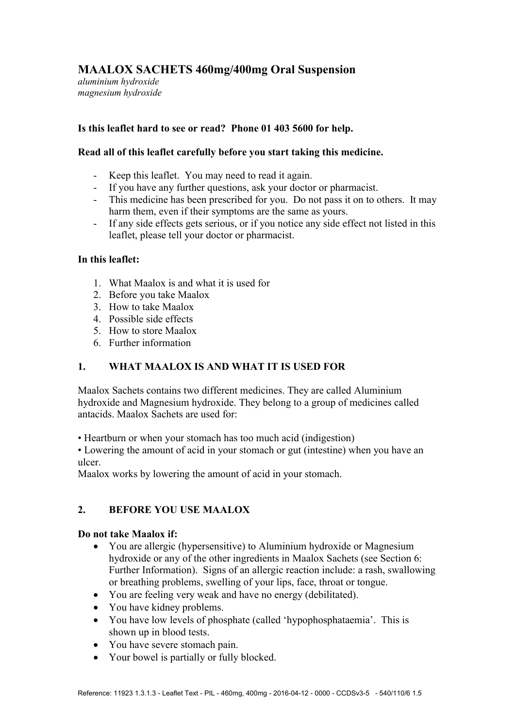# **MAALOX SACHETS 460mg/400mg Oral Suspension**

*aluminium hydroxide magnesium hydroxide* 

# **Is this leaflet hard to see or read? Phone 01 403 5600 for help.**

# **Read all of this leaflet carefully before you start taking this medicine.**

- Keep this leaflet. You may need to read it again.
- If you have any further questions, ask your doctor or pharmacist.
- This medicine has been prescribed for you. Do not pass it on to others. It may harm them, even if their symptoms are the same as yours.
- If any side effects gets serious, or if you notice any side effect not listed in this leaflet, please tell your doctor or pharmacist.

### **In this leaflet:**

- 1. What Maalox is and what it is used for
- 2. Before you take Maalox
- 3. How to take Maalox
- 4. Possible side effects
- 5. How to store Maalox
- 6. Further information

# **1. WHAT MAALOX IS AND WHAT IT IS USED FOR**

Maalox Sachets contains two different medicines. They are called Aluminium hydroxide and Magnesium hydroxide. They belong to a group of medicines called antacids. Maalox Sachets are used for:

• Heartburn or when your stomach has too much acid (indigestion)

• Lowering the amount of acid in your stomach or gut (intestine) when you have an ulcer.

Maalox works by lowering the amount of acid in your stomach.

# **2. BEFORE YOU USE MAALOX**

### **Do not take Maalox if:**

- You are allergic (hypersensitive) to Aluminium hydroxide or Magnesium hydroxide or any of the other ingredients in Maalox Sachets (see Section 6: Further Information). Signs of an allergic reaction include: a rash, swallowing or breathing problems, swelling of your lips, face, throat or tongue.
- You are feeling very weak and have no energy (debilitated).
- You have kidney problems.
- You have low levels of phosphate (called 'hypophosphataemia'. This is shown up in blood tests.
- You have severe stomach pain.
- Your bowel is partially or fully blocked.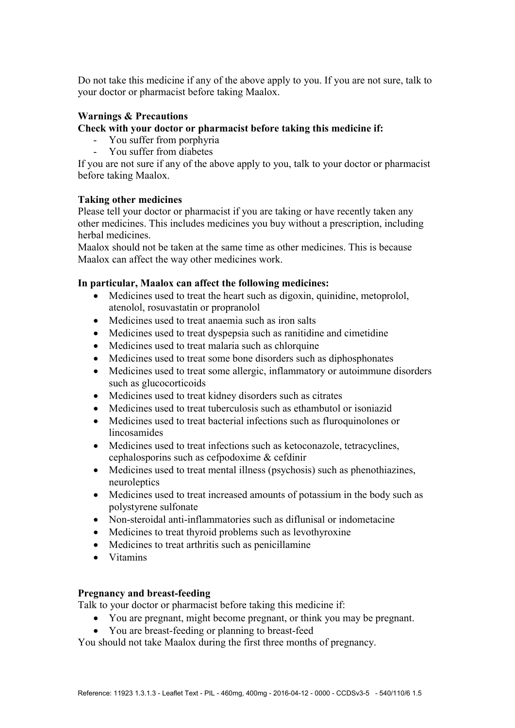Do not take this medicine if any of the above apply to you. If you are not sure, talk to your doctor or pharmacist before taking Maalox.

# **Warnings & Precautions**

### **Check with your doctor or pharmacist before taking this medicine if:**

- You suffer from porphyria
- You suffer from diabetes

If you are not sure if any of the above apply to you, talk to your doctor or pharmacist before taking Maalox.

### **Taking other medicines**

Please tell your doctor or pharmacist if you are taking or have recently taken any other medicines. This includes medicines you buy without a prescription, including herbal medicines.

Maalox should not be taken at the same time as other medicines. This is because Maalox can affect the way other medicines work.

### **In particular, Maalox can affect the following medicines:**

- Medicines used to treat the heart such as digoxin, quinidine, metoprolol, atenolol, rosuvastatin or propranolol
- Medicines used to treat anaemia such as iron salts
- Medicines used to treat dyspepsia such as ranitidine and cimetidine
- Medicines used to treat malaria such as chlorquine
- Medicines used to treat some bone disorders such as diphosphonates
- Medicines used to treat some allergic, inflammatory or autoimmune disorders such as glucocorticoids
- Medicines used to treat kidney disorders such as citrates
- Medicines used to treat tuberculosis such as ethambutol or isoniazid
- Medicines used to treat bacterial infections such as fluroquinolones or lincosamides
- Medicines used to treat infections such as ketoconazole, tetracyclines, cephalosporins such as cefpodoxime & cefdinir
- Medicines used to treat mental illness (psychosis) such as phenothiazines, neuroleptics
- Medicines used to treat increased amounts of potassium in the body such as polystyrene sulfonate
- Non-steroidal anti-inflammatories such as diflunisal or indometacine
- Medicines to treat thyroid problems such as levothyroxine
- Medicines to treat arthritis such as penicillamine
- Vitamins

### **Pregnancy and breast-feeding**

Talk to your doctor or pharmacist before taking this medicine if:

- You are pregnant, might become pregnant, or think you may be pregnant.
- You are breast-feeding or planning to breast-feed

You should not take Maalox during the first three months of pregnancy.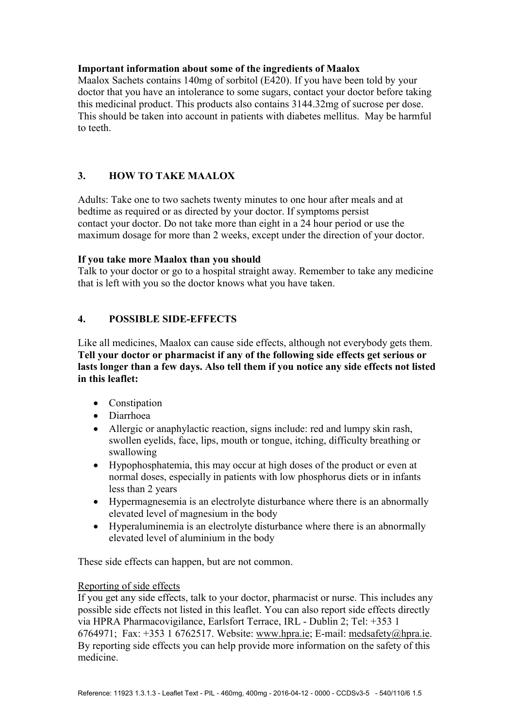# **Important information about some of the ingredients of Maalox**

Maalox Sachets contains 140mg of sorbitol (E420). If you have been told by your doctor that you have an intolerance to some sugars, contact your doctor before taking this medicinal product. This products also contains 3144.32mg of sucrose per dose. This should be taken into account in patients with diabetes mellitus. May be harmful to teeth.

# **3. HOW TO TAKE MAALOX**

Adults: Take one to two sachets twenty minutes to one hour after meals and at bedtime as required or as directed by your doctor. If symptoms persist contact your doctor. Do not take more than eight in a 24 hour period or use the maximum dosage for more than 2 weeks, except under the direction of your doctor.

### **If you take more Maalox than you should**

Talk to your doctor or go to a hospital straight away. Remember to take any medicine that is left with you so the doctor knows what you have taken.

# **4. POSSIBLE SIDE-EFFECTS**

Like all medicines, Maalox can cause side effects, although not everybody gets them. **Tell your doctor or pharmacist if any of the following side effects get serious or lasts longer than a few days. Also tell them if you notice any side effects not listed in this leaflet:**

- Constination
- Diarrhoea
- Allergic or anaphylactic reaction, signs include: red and lumpy skin rash, swollen eyelids, face, lips, mouth or tongue, itching, difficulty breathing or swallowing
- Hypophosphatemia, this may occur at high doses of the product or even at normal doses, especially in patients with low phosphorus diets or in infants less than 2 years
- Hypermagnesemia is an electrolyte disturbance where there is an abnormally elevated level of magnesium in the body
- Hyperaluminemia is an electrolyte disturbance where there is an abnormally elevated level of aluminium in the body

These side effects can happen, but are not common.

### Reporting of side effects

If you get any side effects, talk to your doctor, pharmacist or nurse. This includes any possible side effects not listed in this leaflet. You can also report side effects directly via HPRA Pharmacovigilance, Earlsfort Terrace, IRL - Dublin 2; Tel: +353 1 6764971; Fax: +353 1 6762517. Website: www.hpra.ie; E-mail: medsafety@hpra.ie. By reporting side effects you can help provide more information on the safety of this medicine.